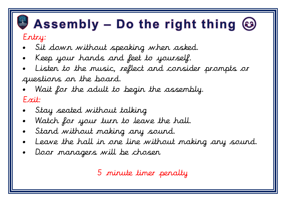## $\bullet$  Assembly – Do the right thing  $\odot$

## Entry:

- Sit down without speaking when asked.
- Keep your hands and feet to yourself.
- Listen to the music, reflect and consider prompts or questions on the board.
- Wait for the adult to begin the assembly. Exit:
- Stay seated without talking
- Watch for your turn to leave the hall.
- Stand without making any sound.
- Leave the hall in one line without making any sound.
- Door managers will be chosen

5 minute timer penalty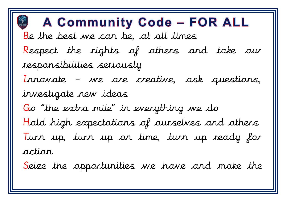## **A Community Code - FOR ALL** Be the best we can be, at all times Respect the rights of others and take our responsibilities seriously Innovate - we are creative, ask questions, investigate new ideas Go "the extra mile" in everything we do Hold high expectations of ourselves and others Turn up, turn up on time, turn up ready for action

Seize the opportunities we have and make the